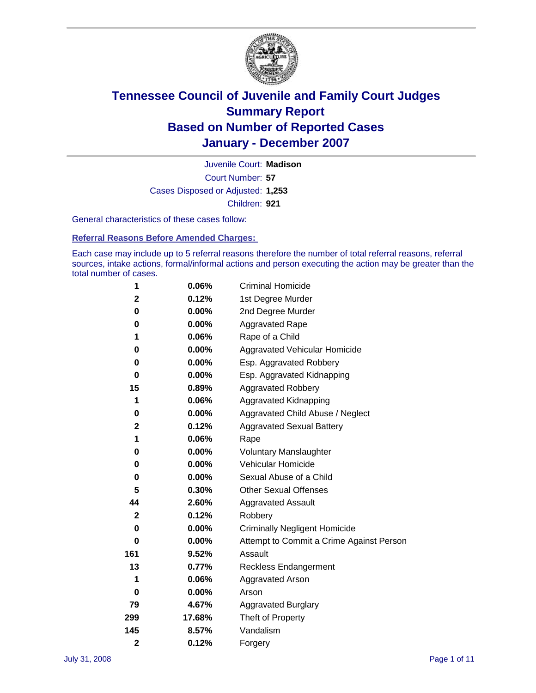

Court Number: **57** Juvenile Court: **Madison** Cases Disposed or Adjusted: **1,253** Children: **921**

General characteristics of these cases follow:

**Referral Reasons Before Amended Charges:** 

Each case may include up to 5 referral reasons therefore the number of total referral reasons, referral sources, intake actions, formal/informal actions and person executing the action may be greater than the total number of cases.

| 1                       | 0.06%    | <b>Criminal Homicide</b>                 |  |  |
|-------------------------|----------|------------------------------------------|--|--|
| 2                       | 0.12%    | 1st Degree Murder                        |  |  |
| 0                       | 0.00%    | 2nd Degree Murder                        |  |  |
| 0                       | $0.00\%$ | <b>Aggravated Rape</b>                   |  |  |
| 1                       | 0.06%    | Rape of a Child                          |  |  |
| 0                       | 0.00%    | Aggravated Vehicular Homicide            |  |  |
| 0                       | 0.00%    | Esp. Aggravated Robbery                  |  |  |
| 0                       | 0.00%    | Esp. Aggravated Kidnapping               |  |  |
| 15                      | 0.89%    | <b>Aggravated Robbery</b>                |  |  |
| 1                       | 0.06%    | Aggravated Kidnapping                    |  |  |
| 0                       | $0.00\%$ | Aggravated Child Abuse / Neglect         |  |  |
| $\mathbf 2$             | 0.12%    | <b>Aggravated Sexual Battery</b>         |  |  |
| 1                       | 0.06%    | Rape                                     |  |  |
| 0                       | $0.00\%$ | <b>Voluntary Manslaughter</b>            |  |  |
| 0                       | 0.00%    | Vehicular Homicide                       |  |  |
| 0                       | 0.00%    | Sexual Abuse of a Child                  |  |  |
| 5                       | 0.30%    | <b>Other Sexual Offenses</b>             |  |  |
| 44                      | 2.60%    | Aggravated Assault                       |  |  |
| $\mathbf 2$             | 0.12%    | Robbery                                  |  |  |
| 0                       | $0.00\%$ | <b>Criminally Negligent Homicide</b>     |  |  |
| 0                       | 0.00%    | Attempt to Commit a Crime Against Person |  |  |
| 161                     | 9.52%    | Assault                                  |  |  |
| 13                      | 0.77%    | <b>Reckless Endangerment</b>             |  |  |
| 1                       | 0.06%    | <b>Aggravated Arson</b>                  |  |  |
| 0                       | 0.00%    | Arson                                    |  |  |
| 79                      | 4.67%    | <b>Aggravated Burglary</b>               |  |  |
| 299                     | 17.68%   | Theft of Property                        |  |  |
| 145                     | 8.57%    | Vandalism                                |  |  |
| $\overline{\mathbf{c}}$ | 0.12%    | Forgery                                  |  |  |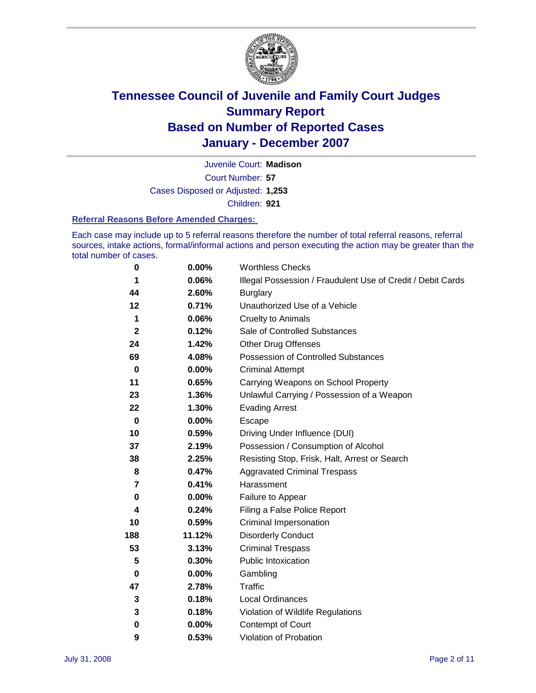

Court Number: **57** Juvenile Court: **Madison** Cases Disposed or Adjusted: **1,253** Children: **921**

#### **Referral Reasons Before Amended Charges:**

Each case may include up to 5 referral reasons therefore the number of total referral reasons, referral sources, intake actions, formal/informal actions and person executing the action may be greater than the total number of cases.

| 0            | 0.00%    | <b>Worthless Checks</b>                                     |
|--------------|----------|-------------------------------------------------------------|
| 1            | 0.06%    | Illegal Possession / Fraudulent Use of Credit / Debit Cards |
| 44           | 2.60%    | <b>Burglary</b>                                             |
| 12           | 0.71%    | Unauthorized Use of a Vehicle                               |
| 1            | 0.06%    | <b>Cruelty to Animals</b>                                   |
| $\mathbf{2}$ | 0.12%    | Sale of Controlled Substances                               |
| 24           | 1.42%    | <b>Other Drug Offenses</b>                                  |
| 69           | 4.08%    | <b>Possession of Controlled Substances</b>                  |
| $\mathbf 0$  | $0.00\%$ | <b>Criminal Attempt</b>                                     |
| 11           | 0.65%    | Carrying Weapons on School Property                         |
| 23           | 1.36%    | Unlawful Carrying / Possession of a Weapon                  |
| 22           | 1.30%    | <b>Evading Arrest</b>                                       |
| $\mathbf 0$  | 0.00%    | Escape                                                      |
| 10           | 0.59%    | Driving Under Influence (DUI)                               |
| 37           | 2.19%    | Possession / Consumption of Alcohol                         |
| 38           | 2.25%    | Resisting Stop, Frisk, Halt, Arrest or Search               |
| 8            | 0.47%    | <b>Aggravated Criminal Trespass</b>                         |
| 7            | 0.41%    | Harassment                                                  |
| 0            | 0.00%    | Failure to Appear                                           |
| 4            | 0.24%    | Filing a False Police Report                                |
| 10           | 0.59%    | Criminal Impersonation                                      |
| 188          | 11.12%   | <b>Disorderly Conduct</b>                                   |
| 53           | 3.13%    | <b>Criminal Trespass</b>                                    |
| 5            | 0.30%    | Public Intoxication                                         |
| $\bf{0}$     | 0.00%    | Gambling                                                    |
| 47           | 2.78%    | <b>Traffic</b>                                              |
| 3            | 0.18%    | Local Ordinances                                            |
| 3            | 0.18%    | Violation of Wildlife Regulations                           |
| $\bf{0}$     | 0.00%    | Contempt of Court                                           |
| 9            | 0.53%    | Violation of Probation                                      |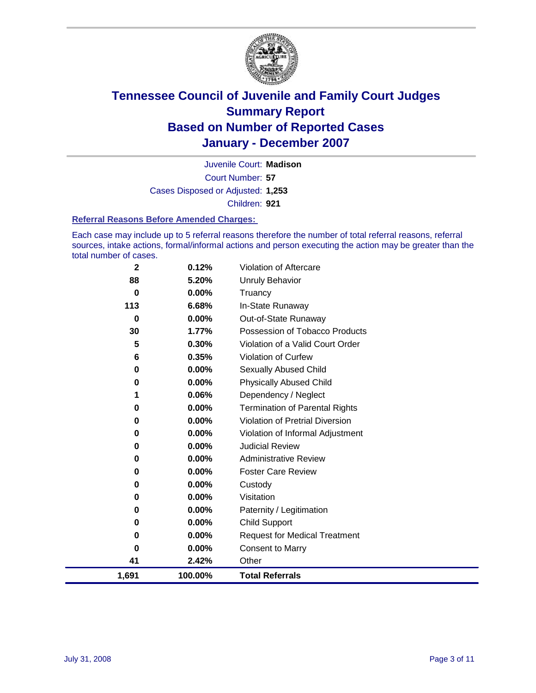

Court Number: **57** Juvenile Court: **Madison** Cases Disposed or Adjusted: **1,253** Children: **921**

#### **Referral Reasons Before Amended Charges:**

Each case may include up to 5 referral reasons therefore the number of total referral reasons, referral sources, intake actions, formal/informal actions and person executing the action may be greater than the total number of cases.

| 1,691       | 100.00%        | <b>Total Referrals</b>                 |
|-------------|----------------|----------------------------------------|
| 41          | 2.42%          | Other                                  |
| 0           | 0.00%          | <b>Consent to Marry</b>                |
| 0           | 0.00%          | <b>Request for Medical Treatment</b>   |
| 0           | 0.00%          | <b>Child Support</b>                   |
| 0           | 0.00%          | Paternity / Legitimation               |
| 0           | 0.00%          | Visitation                             |
| 0           | 0.00%          | Custody                                |
| 0           | 0.00%          | <b>Foster Care Review</b>              |
| 0           | 0.00%          | <b>Administrative Review</b>           |
| 0           | 0.00%          | <b>Judicial Review</b>                 |
| 0           | 0.00%          | Violation of Informal Adjustment       |
| 0           | 0.00%          | <b>Violation of Pretrial Diversion</b> |
| 0           | 0.00%          | <b>Termination of Parental Rights</b>  |
| 1           | 0.06%          | Dependency / Neglect                   |
| 0           | 0.00%          | <b>Physically Abused Child</b>         |
| 0           | 0.00%          | <b>Sexually Abused Child</b>           |
| 6           | 0.35%          | <b>Violation of Curfew</b>             |
| 5           | 0.30%          | Violation of a Valid Court Order       |
| 30          | 1.77%          | Possession of Tobacco Products         |
| 0           | 0.00%          | Out-of-State Runaway                   |
| 113         | 6.68%          | In-State Runaway                       |
| 88<br>0     | 5.20%<br>0.00% | <b>Unruly Behavior</b><br>Truancy      |
|             |                |                                        |
| $\mathbf 2$ | 0.12%          | Violation of Aftercare                 |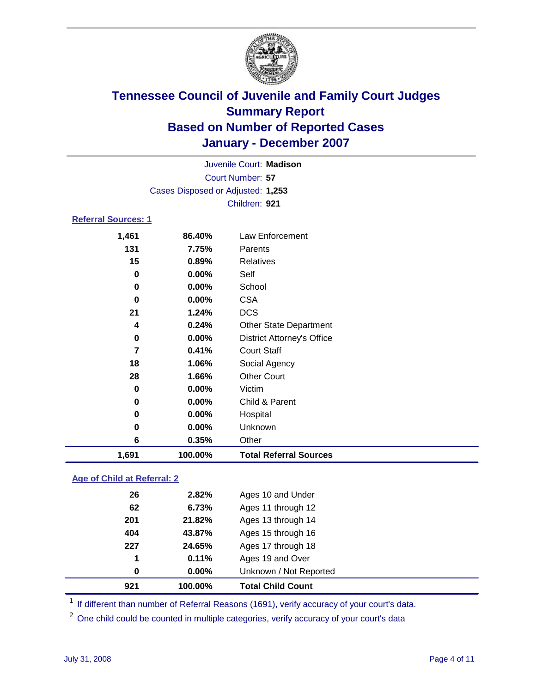

Court Number: **57** Juvenile Court: **Madison** Cases Disposed or Adjusted: **1,253** Children: **921**

### **Referral Sources: 1**

| 1,691 | 100.00%              | <b>Total Referral Sources</b>     |
|-------|----------------------|-----------------------------------|
|       | 6<br>0.35%           | Other                             |
|       | 0.00%<br>$\mathbf 0$ | Unknown                           |
|       | 0.00%<br>0           | Hospital                          |
|       | $\mathbf 0$<br>0.00% | Child & Parent                    |
|       | 0<br>0.00%           | Victim                            |
| 28    | 1.66%                | <b>Other Court</b>                |
| 18    | 1.06%                | Social Agency                     |
|       | 7<br>0.41%           | <b>Court Staff</b>                |
|       | 0<br>0.00%           | <b>District Attorney's Office</b> |
|       | 0.24%<br>4           | <b>Other State Department</b>     |
| 21    | 1.24%                | <b>DCS</b>                        |
|       | 0.00%<br>0           | <b>CSA</b>                        |
|       | 0<br>0.00%           | School                            |
|       | 0.00%<br>0           | Self                              |
| 15    | 0.89%                | Relatives                         |
| 131   | 7.75%                | Parents                           |
| 1,461 | 86.40%               | Law Enforcement                   |

### **Age of Child at Referral: 2**

| 921 | 100.00%  | <b>Total Child Count</b> |  |
|-----|----------|--------------------------|--|
| 0   | $0.00\%$ | Unknown / Not Reported   |  |
| 1   | 0.11%    | Ages 19 and Over         |  |
| 227 | 24.65%   | Ages 17 through 18       |  |
| 404 | 43.87%   | Ages 15 through 16       |  |
| 201 | 21.82%   | Ages 13 through 14       |  |
| 62  | 6.73%    | Ages 11 through 12       |  |
| 26  | 2.82%    | Ages 10 and Under        |  |
|     |          |                          |  |

<sup>1</sup> If different than number of Referral Reasons (1691), verify accuracy of your court's data.

<sup>2</sup> One child could be counted in multiple categories, verify accuracy of your court's data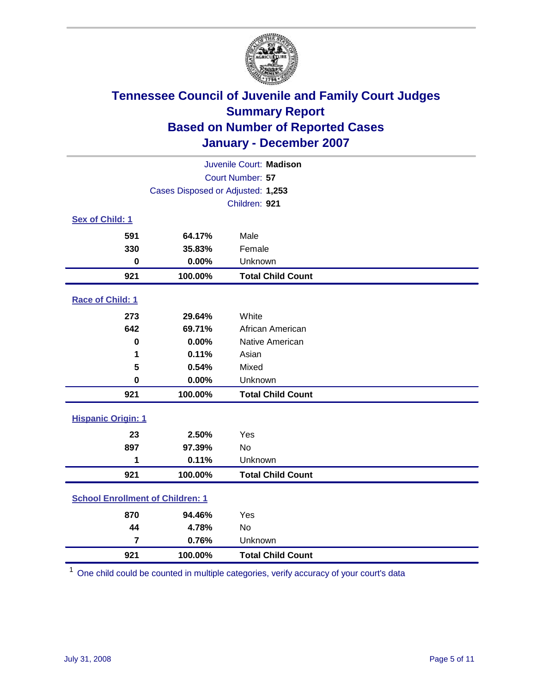

| Juvenile Court: Madison                 |                                   |                          |  |  |  |
|-----------------------------------------|-----------------------------------|--------------------------|--|--|--|
| Court Number: 57                        |                                   |                          |  |  |  |
|                                         | Cases Disposed or Adjusted: 1,253 |                          |  |  |  |
|                                         |                                   | Children: 921            |  |  |  |
| Sex of Child: 1                         |                                   |                          |  |  |  |
| 591                                     | 64.17%                            | Male                     |  |  |  |
| 330                                     | 35.83%                            | Female                   |  |  |  |
| $\bf{0}$                                | 0.00%                             | Unknown                  |  |  |  |
| 921                                     | 100.00%                           | <b>Total Child Count</b> |  |  |  |
| Race of Child: 1                        |                                   |                          |  |  |  |
| 273                                     | 29.64%                            | White                    |  |  |  |
| 642                                     | 69.71%                            | African American         |  |  |  |
| $\bf{0}$                                | 0.00%                             | Native American          |  |  |  |
| 1                                       | 0.11%                             | Asian                    |  |  |  |
| 5                                       | 0.54%                             | Mixed                    |  |  |  |
| $\mathbf 0$                             | 0.00%                             | Unknown                  |  |  |  |
| 921                                     | 100.00%                           | <b>Total Child Count</b> |  |  |  |
| <b>Hispanic Origin: 1</b>               |                                   |                          |  |  |  |
| 23                                      | 2.50%                             | Yes                      |  |  |  |
| 897                                     | 97.39%                            | <b>No</b>                |  |  |  |
| 1                                       | 0.11%                             | Unknown                  |  |  |  |
| 921                                     | 100.00%                           | <b>Total Child Count</b> |  |  |  |
| <b>School Enrollment of Children: 1</b> |                                   |                          |  |  |  |
| 870                                     | 94.46%                            | Yes                      |  |  |  |
| 44                                      | 4.78%                             | No                       |  |  |  |
| $\overline{7}$                          | 0.76%                             | Unknown                  |  |  |  |
| 921                                     | 100.00%                           | <b>Total Child Count</b> |  |  |  |

One child could be counted in multiple categories, verify accuracy of your court's data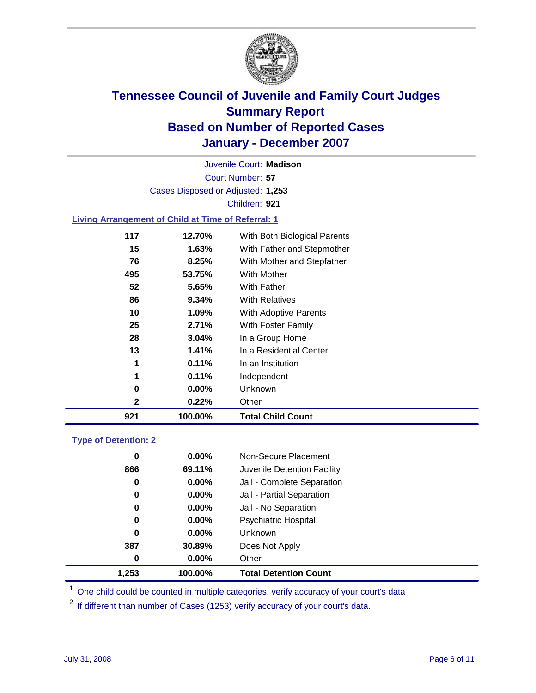

Court Number: **57** Juvenile Court: **Madison** Cases Disposed or Adjusted: **1,253** Children: **921**

#### **Living Arrangement of Child at Time of Referral: 1**

| 921 | 100.00%  | <b>Total Child Count</b>     |
|-----|----------|------------------------------|
| 2   | 0.22%    | Other                        |
| 0   | $0.00\%$ | Unknown                      |
| 1   | 0.11%    | Independent                  |
| 1   | 0.11%    | In an Institution            |
| 13  | 1.41%    | In a Residential Center      |
| 28  | 3.04%    | In a Group Home              |
| 25  | 2.71%    | With Foster Family           |
| 10  | 1.09%    | <b>With Adoptive Parents</b> |
| 86  | $9.34\%$ | <b>With Relatives</b>        |
| 52  | 5.65%    | With Father                  |
| 495 | 53.75%   | With Mother                  |
| 76  | 8.25%    | With Mother and Stepfather   |
| 15  | 1.63%    | With Father and Stepmother   |
| 117 | 12.70%   | With Both Biological Parents |
|     |          |                              |

#### **Type of Detention: 2**

| 1.253 | 100.00%  | <b>Total Detention Count</b> |  |
|-------|----------|------------------------------|--|
| 0     | $0.00\%$ | Other                        |  |
| 387   | 30.89%   | Does Not Apply               |  |
| 0     | $0.00\%$ | <b>Unknown</b>               |  |
| 0     | $0.00\%$ | <b>Psychiatric Hospital</b>  |  |
| 0     | $0.00\%$ | Jail - No Separation         |  |
| 0     | $0.00\%$ | Jail - Partial Separation    |  |
| 0     | $0.00\%$ | Jail - Complete Separation   |  |
| 866   | 69.11%   | Juvenile Detention Facility  |  |
| 0     | $0.00\%$ | Non-Secure Placement         |  |
|       |          |                              |  |

<sup>1</sup> One child could be counted in multiple categories, verify accuracy of your court's data

<sup>2</sup> If different than number of Cases (1253) verify accuracy of your court's data.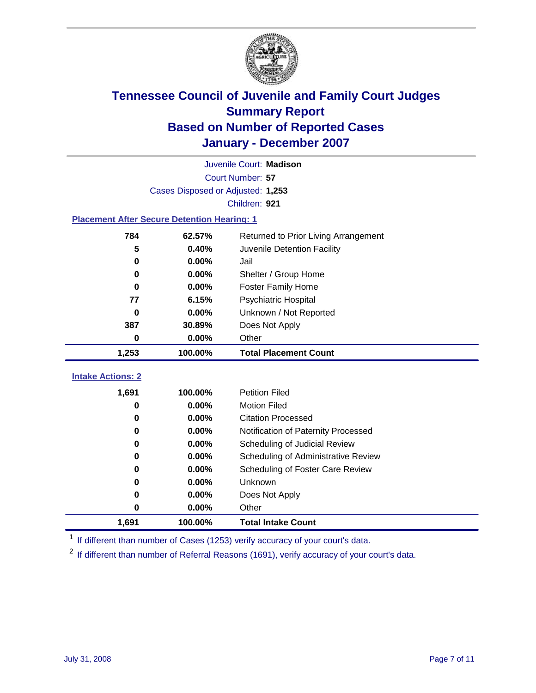

|                                                    | Juvenile Court: Madison           |                                      |  |  |  |
|----------------------------------------------------|-----------------------------------|--------------------------------------|--|--|--|
|                                                    | Court Number: 57                  |                                      |  |  |  |
|                                                    | Cases Disposed or Adjusted: 1,253 |                                      |  |  |  |
|                                                    |                                   | Children: 921                        |  |  |  |
| <b>Placement After Secure Detention Hearing: 1</b> |                                   |                                      |  |  |  |
| 784                                                | 62.57%                            | Returned to Prior Living Arrangement |  |  |  |
| 5                                                  | 0.40%                             | Juvenile Detention Facility          |  |  |  |
| 0                                                  | 0.00%                             | Jail                                 |  |  |  |
| 0                                                  | 0.00%                             | Shelter / Group Home                 |  |  |  |
| 0                                                  | 0.00%                             | <b>Foster Family Home</b>            |  |  |  |
| 77                                                 | 6.15%                             | Psychiatric Hospital                 |  |  |  |
| 0                                                  | 0.00%                             | Unknown / Not Reported               |  |  |  |
| 387                                                | 30.89%                            | Does Not Apply                       |  |  |  |
| 0                                                  | 0.00%                             | Other                                |  |  |  |
| 1,253                                              | 100.00%                           | <b>Total Placement Count</b>         |  |  |  |
|                                                    |                                   |                                      |  |  |  |
| <b>Intake Actions: 2</b>                           |                                   |                                      |  |  |  |
| 1,691                                              | 100.00%                           | <b>Petition Filed</b>                |  |  |  |
| 0                                                  | 0.00%                             | <b>Motion Filed</b>                  |  |  |  |
| 0                                                  | 0.00%                             | <b>Citation Processed</b>            |  |  |  |
| 0                                                  | 0.00%                             | Notification of Paternity Processed  |  |  |  |
| 0                                                  | 0.00%                             | Scheduling of Judicial Review        |  |  |  |
| 0                                                  | 0.00%                             | Scheduling of Administrative Review  |  |  |  |
| 0                                                  | 0.00%                             | Scheduling of Foster Care Review     |  |  |  |
| 0                                                  | 0.00%                             | Unknown                              |  |  |  |
| 0                                                  | 0.00%                             | Does Not Apply                       |  |  |  |
| 0                                                  | 0.00%                             | Other                                |  |  |  |
| 1,691                                              | 100.00%                           | <b>Total Intake Count</b>            |  |  |  |

<sup>1</sup> If different than number of Cases (1253) verify accuracy of your court's data.

<sup>2</sup> If different than number of Referral Reasons (1691), verify accuracy of your court's data.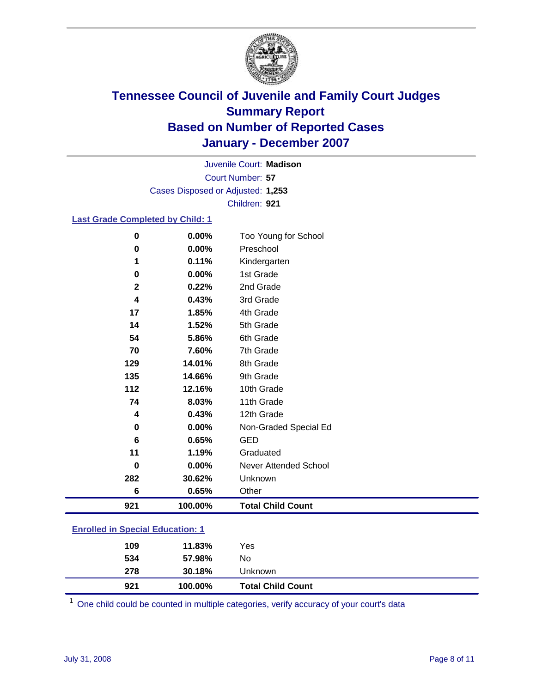

Court Number: **57** Juvenile Court: **Madison** Cases Disposed or Adjusted: **1,253** Children: **921**

### **Last Grade Completed by Child: 1**

| 921          | 100.00% | <b>Total Child Count</b> |
|--------------|---------|--------------------------|
| 6            | 0.65%   | Other                    |
| 282          | 30.62%  | Unknown                  |
| $\bf{0}$     | 0.00%   | Never Attended School    |
| 11           | 1.19%   | Graduated                |
| 6            | 0.65%   | <b>GED</b>               |
| $\mathbf 0$  | 0.00%   | Non-Graded Special Ed    |
| 4            | 0.43%   | 12th Grade               |
| 74           | 8.03%   | 11th Grade               |
| 112          | 12.16%  | 10th Grade               |
| 135          | 14.66%  | 9th Grade                |
| 129          | 14.01%  | 8th Grade                |
| 70           | 7.60%   | 7th Grade                |
| 54           | 5.86%   | 6th Grade                |
| 14           | 1.52%   | 5th Grade                |
| 17           | 1.85%   | 4th Grade                |
| 4            | 0.43%   | 3rd Grade                |
| $\mathbf{2}$ | 0.22%   | 2nd Grade                |
| 0            | 0.00%   | 1st Grade                |
| 1            | 0.11%   | Kindergarten             |
| 0            | 0.00%   | Preschool                |
| $\bf{0}$     | 0.00%   | Too Young for School     |

### **Enrolled in Special Education: 1**

| 921 | 100.00% | <b>Total Child Count</b> |
|-----|---------|--------------------------|
| 278 | 30.18%  | Unknown                  |
| 534 | 57.98%  | No                       |
| 109 | 11.83%  | Yes                      |
|     |         |                          |

<sup>1</sup> One child could be counted in multiple categories, verify accuracy of your court's data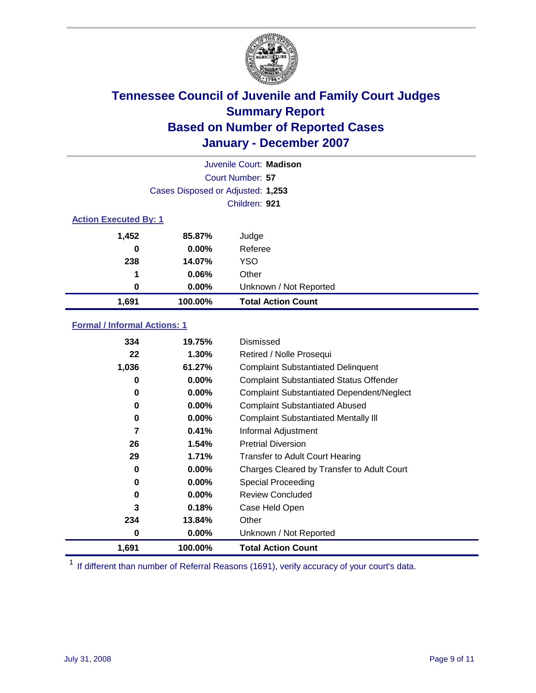

| Juvenile Court: Madison      |                                   |                           |  |  |
|------------------------------|-----------------------------------|---------------------------|--|--|
|                              | Court Number: 57                  |                           |  |  |
|                              | Cases Disposed or Adjusted: 1,253 |                           |  |  |
|                              |                                   | Children: 921             |  |  |
| <b>Action Executed By: 1</b> |                                   |                           |  |  |
| 1,452                        | 85.87%                            | Judge                     |  |  |
| 0                            | $0.00\%$                          | Referee                   |  |  |
| 238                          | 14.07%                            | <b>YSO</b>                |  |  |
| 1                            | 0.06%                             | Other                     |  |  |
| 0                            | $0.00\%$                          | Unknown / Not Reported    |  |  |
| 1,691                        | 100.00%                           | <b>Total Action Count</b> |  |  |

### **Formal / Informal Actions: 1**

| 334   | 19.75%   | Dismissed                                        |
|-------|----------|--------------------------------------------------|
| 22    | $1.30\%$ | Retired / Nolle Prosequi                         |
| 1,036 | 61.27%   | <b>Complaint Substantiated Delinquent</b>        |
| 0     | $0.00\%$ | <b>Complaint Substantiated Status Offender</b>   |
| 0     | 0.00%    | <b>Complaint Substantiated Dependent/Neglect</b> |
| 0     | 0.00%    | <b>Complaint Substantiated Abused</b>            |
| 0     | $0.00\%$ | <b>Complaint Substantiated Mentally III</b>      |
| 7     | 0.41%    | Informal Adjustment                              |
| 26    | 1.54%    | <b>Pretrial Diversion</b>                        |
| 29    | 1.71%    | <b>Transfer to Adult Court Hearing</b>           |
| 0     | $0.00\%$ | Charges Cleared by Transfer to Adult Court       |
| 0     | 0.00%    | Special Proceeding                               |
| 0     | $0.00\%$ | <b>Review Concluded</b>                          |
| 3     | 0.18%    | Case Held Open                                   |
| 234   | 13.84%   | Other                                            |
| 0     | $0.00\%$ | Unknown / Not Reported                           |
| 1,691 | 100.00%  | <b>Total Action Count</b>                        |

<sup>1</sup> If different than number of Referral Reasons (1691), verify accuracy of your court's data.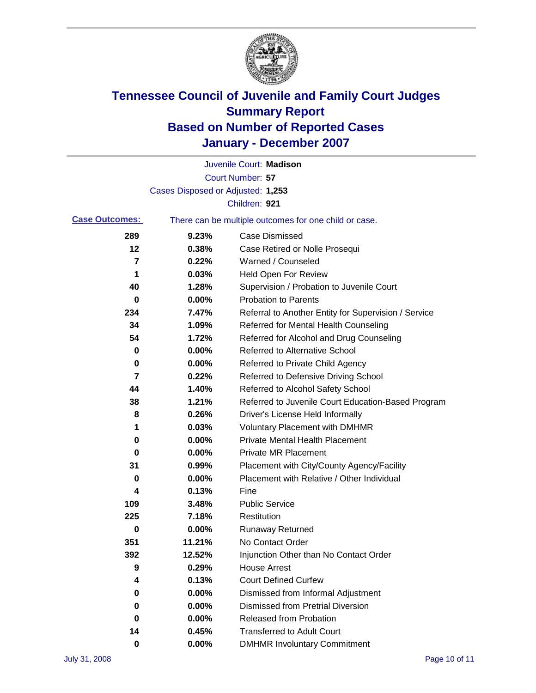

|                       |                                   | Juvenile Court: Madison                               |
|-----------------------|-----------------------------------|-------------------------------------------------------|
|                       |                                   | <b>Court Number: 57</b>                               |
|                       | Cases Disposed or Adjusted: 1,253 |                                                       |
|                       |                                   | Children: 921                                         |
| <b>Case Outcomes:</b> |                                   | There can be multiple outcomes for one child or case. |
| 289                   | 9.23%                             | <b>Case Dismissed</b>                                 |
| 12                    | 0.38%                             | Case Retired or Nolle Prosequi                        |
| 7                     | 0.22%                             | Warned / Counseled                                    |
| 1                     | 0.03%                             | <b>Held Open For Review</b>                           |
| 40                    | 1.28%                             | Supervision / Probation to Juvenile Court             |
| 0                     | 0.00%                             | <b>Probation to Parents</b>                           |
| 234                   | 7.47%                             | Referral to Another Entity for Supervision / Service  |
| 34                    | 1.09%                             | Referred for Mental Health Counseling                 |
| 54                    | 1.72%                             | Referred for Alcohol and Drug Counseling              |
| 0                     | 0.00%                             | <b>Referred to Alternative School</b>                 |
| 0                     | 0.00%                             | Referred to Private Child Agency                      |
| 7                     | 0.22%                             | Referred to Defensive Driving School                  |
| 44                    | 1.40%                             | Referred to Alcohol Safety School                     |
| 38                    | 1.21%                             | Referred to Juvenile Court Education-Based Program    |
| 8                     | 0.26%                             | Driver's License Held Informally                      |
| 1                     | 0.03%                             | <b>Voluntary Placement with DMHMR</b>                 |
| 0                     | 0.00%                             | <b>Private Mental Health Placement</b>                |
| 0                     | 0.00%                             | Private MR Placement                                  |
| 31                    | 0.99%                             | Placement with City/County Agency/Facility            |
| 0                     | 0.00%                             | Placement with Relative / Other Individual            |
| 4                     | 0.13%                             | Fine                                                  |
| 109                   | 3.48%                             | <b>Public Service</b>                                 |
| 225                   | 7.18%                             | Restitution                                           |
| 0                     | 0.00%                             | <b>Runaway Returned</b>                               |
| 351                   | 11.21%                            | No Contact Order                                      |
| 392                   | 12.52%                            | Injunction Other than No Contact Order                |
| 9                     | 0.29%                             | <b>House Arrest</b>                                   |
| 4                     | 0.13%                             | <b>Court Defined Curfew</b>                           |
| 0                     | 0.00%                             | Dismissed from Informal Adjustment                    |
| 0                     | 0.00%                             | <b>Dismissed from Pretrial Diversion</b>              |
| 0                     | 0.00%                             | <b>Released from Probation</b>                        |
| 14                    | 0.45%                             | <b>Transferred to Adult Court</b>                     |
| 0                     | 0.00%                             | <b>DMHMR Involuntary Commitment</b>                   |